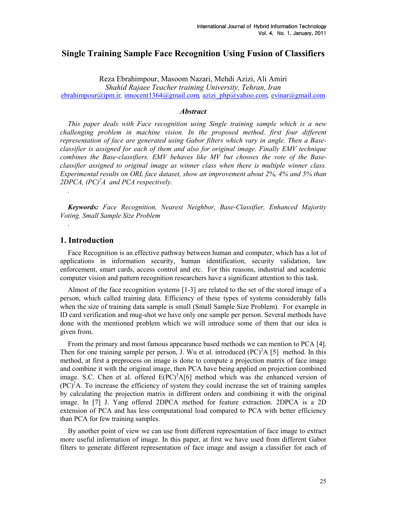# Single Training Sample Face Recognition Using Fusion of Classifiers

Reza Ebrahimpour, Masoom Nazari, Mehdi Azizi, Ali Amiri Shahid Rajaee Teacher training University, Tehran, Iran ebrahimpour@ipm.ir, innocent1364@gmail.com, azizi\_php@yahoo.com, evinar@gmail.com

#### **Abstract**

This paper deals with Face recognition using Single training sample which is a new challenging problem in machine vision. In the proposed method, first four different representation of face are generated using Gabor filters which vary in angle. Then a Baseclassifier is assigned for each of them and also for original image. Finally EMV technique combines the Base-classifiers. EMV behaves like MV but chooses the vote of the Baseclassifier assigned to original image as winner class when there is multiple winner class. Experimental results on ORL face dataset, show an improvement about 2%, 4% and 5% than 2DPCA,  $(PC)^2A$  and PCA respectively.

Keywords: Face Recognition, Nearest Neighbor, Base-Classifier, Enhanced Majority Voting. Small Sample Size Problem

### 1. Introduction

.

.

Face Recognition is an effective pathway between human and computer, which has a lot of applications in information security, human identification, security validation, law enforcement, smart cards, access control and etc. For this reasons, industrial and academic computer vision and pattern recognition researchers have a significant attention to this task.

Almost of the face recognition systems [1-3] are related to the set of the stored image of a person, which called training data. Efficiency of these types of systems considerably falls when the size of training data sample is small (Small Sample Size Problem). For example in ID card verification and mug-shot we have only one sample per person. Several methods have done with the mentioned problem which we will introduce some of them that our idea is given from.

From the primary and most famous appearance based methods we can mention to PCA [4]. Then for one training sample per person, J. Wu et al. introduced  $(PC)^{2}A$  [5] method. In this method, at first a preprocess on image is done to compute a projection matrix of face image and combine it with the original image, then PCA have being applied on projection combined image. S.C. Chen et al. offered  $E(PC)^2A[6]$  method which was the enhanced version of  $(PC)^2$ A. To increase the efficiency of system they could increase the set of training samples by calculating the projection matrix in different orders and combining it with the original image. In [7] J. Yang offered 2DPCA method for feature extraction. 2DPCA is a 2D extension of PCA and has less computational load compared to PCA with better efficiency than PCA for few training samples.

By another point of view we can use from different representation of face image to extract more useful information of image. In this paper, at first we have used from different Gabor filters to generate different representation of face image and assign a classifier for each of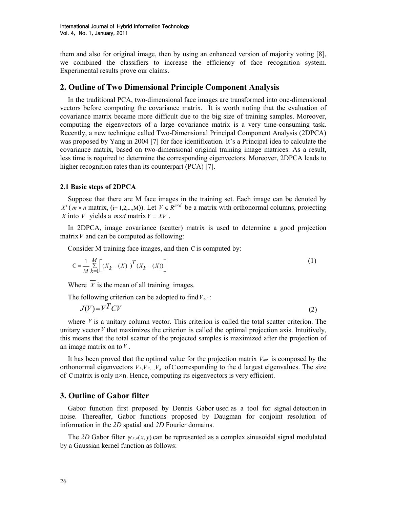them and also for original image, then by using an enhanced version of majority voting [8], we combined the classifiers to increase the efficiency of face recognition system. Experimental results prove our claims.

## 2. Outline of Two Dimensional Principle Component Analysis

In the traditional PCA, two-dimensional face images are transformed into one-dimensional vectors before computing the covariance matrix. It is worth noting that the evaluation of covariance matrix became more difficult due to the big size of training samples. Moreover, computing the eigenvectors of a large covariance matrix is a very time-consuming task. Recently, a new technique called Two-Dimensional Principal Component Analysis (2DPCA) was proposed by Yang in 2004 [7] for face identification. It's a Principal idea to calculate the covariance matrix, based on two-dimensional original training image matrices. As a result, less time is required to determine the corresponding eigenvectors. Moreover, 2DPCA leads to higher recognition rates than its counterpart (PCA) [7].

### 2.1 Basic steps of 2DPCA

Suppose that there are M face images in the training set. Each image can be denoted by  $X^{i}$  (*m* × *n* matrix, (i= 1,2,...,M)). Let  $V \in R^{n \times d}$  be a matrix with orthonormal columns, projecting X into V yields a  $m \times d$  matrix  $Y = XY$ .

In 2DPCA, image covariance (scatter) matrix is used to determine a good projection matrix  $V$  and can be computed as following:

Consider M training face images, and then Cis computed by:

$$
C = \frac{1}{M} \sum_{k=1}^{M} \left[ \left( X_k - \overline{(X)} \right)^T \left( X_k - \overline{(X)} \right) \right] \tag{1}
$$

Where  $\overline{X}$  is the mean of all training images.

The following criterion can be adopted to find  $V_{opt}$ :

$$
J(V) = V^T C V \tag{2}
$$

where  $V$  is a unitary column vector. This criterion is called the total scatter criterion. The unitary vector  $V$  that maximizes the criterion is called the optimal projection axis. Intuitively, this means that the total scatter of the projected samples is maximized after the projection of an image matrix on to  $V$ .

It has been proved that the optimal value for the projection matrix  $V_{opt}$  is composed by the orthonormal eigenvectors  $V_1, V_2, ..., V_d$  of C corresponding to the d largest eigenvalues. The size of Cmatrix is only n×n. Hence, computing its eigenvectors is very efficient.

## 3. Outline of Gabor filter

Gabor function first proposed by Dennis Gabor used as a tool for signal detection in noise. Thereafter, Gabor functions proposed by Daugman for conjoint resolution of information in the 2D spatial and 2D Fourier domains.

The 2D Gabor filter  $\psi_{f,\theta}(x, y)$  can be represented as a complex sinusoidal signal modulated by a Gaussian kernel function as follows: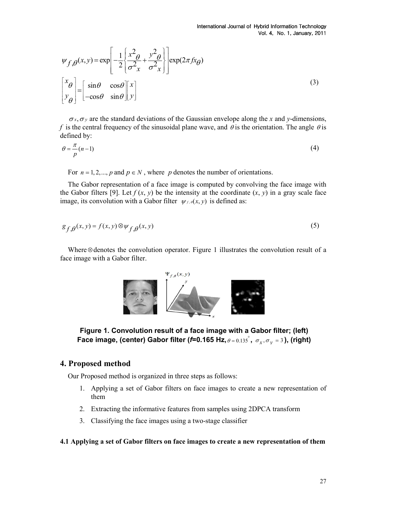$$
\psi_{f,\theta}(x,y) = \exp\left[-\frac{1}{2}\left\{\frac{x^2}{\sigma_x^2} + \frac{y^2}{\sigma_x^2}\right\}\right] \exp(2\pi fx_\theta)
$$
\n
$$
\begin{bmatrix} x_\theta \\ y_\theta \end{bmatrix} = \begin{bmatrix} \sin\theta & \cos\theta \\ -\cos\theta & \sin\theta \end{bmatrix} \begin{bmatrix} x \\ y \end{bmatrix}
$$
\n(3)

 $\sigma_x$ ,  $\sigma_y$  are the standard deviations of the Gaussian envelope along the x and y-dimensions, f is the central frequency of the sinusoidal plane wave, and  $\theta$  is the orientation. The angle  $\theta$  is defined by:

$$
\theta = \frac{\pi}{p}(n-1) \tag{4}
$$

For  $n = 1, 2, \dots, p$  and  $p \in N$ , where p denotes the number of orientations.

The Gabor representation of a face image is computed by convolving the face image with the Gabor filters [9]. Let  $f(x, y)$  be the intensity at the coordinate  $(x, y)$  in a gray scale face image, its convolution with a Gabor filter  $\psi_{f,\theta}(x, y)$  is defined as:

$$
g_{f,\theta}(x,y) = f(x,y) \otimes \psi_{f,\theta}(x,y) \tag{5}
$$

Where ⊗denotes the convolution operator. Figure 1 illustrates the convolution result of a face image with a Gabor filter.





# 4. Proposed method

Our Proposed method is organized in three steps as follows:

- 1. Applying a set of Gabor filters on face images to create a new representation of them
- 2. Extracting the informative features from samples using 2DPCA transform
- 3. Classifying the face images using a two-stage classifier

### 4.1 Applying a set of Gabor filters on face images to create a new representation of them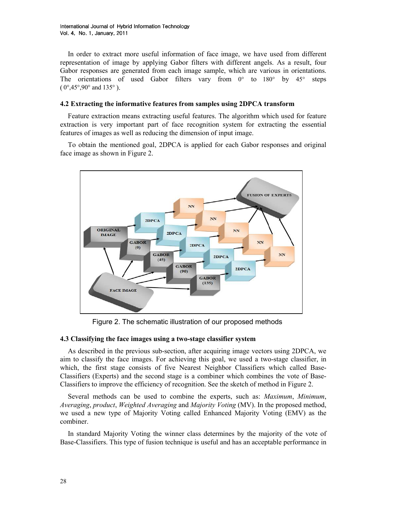International Journal of Hybrid Information Technology Vol. 4, No. 1, January, 2011 2011

In order to extract more useful information of face image, we have used from different representation of image by applying Gabor filters with different angels. As a result, four Gabor responses are generated from each image sample, which are various in orientations. The orientations of used Gabor filters vary from  $0^{\circ}$  to  $180^{\circ}$  by  $45^{\circ}$  steps  $(0^{\circ}, 45^{\circ}, 90^{\circ})$  and 135°).

#### 4.2 Extracting the informative features from samples using 2DPCA transform

Feature extraction means extracting useful features. The algorithm which used for feature extraction is very important part of face recognition system for extracting the essential features of images as well as reducing the dimension of input image.

To obtain the mentioned goal, 2DPCA is applied for each Gabor responses and original face image as shown in Figure 2.



Figure 2. The schematic illustration of our proposed methods

#### 4.3 Classifying the face images using a two-stage classifier system

As described in the previous sub-section, after acquiring image vectors using 2DPCA, we aim to classify the face images. For achieving this goal, we used a two-stage classifier, in which, the first stage consists of five Nearest Neighbor Classifiers which called Base-Classifiers (Experts) and the second stage is a combiner which combines the vote of Base-Classifiers to improve the efficiency of recognition. See the sketch of method in Figure 2.

Several methods can be used to combine the experts, such as: Maximum, Minimum, Averaging, product, Weighted Averaging and Majority Voting (MV). In the proposed method, we used a new type of Majority Voting called Enhanced Majority Voting (EMV) as the combiner.

In standard Majority Voting the winner class determines by the majority of the vote of Base-Classifiers. This type of fusion technique is useful and has an acceptable performance in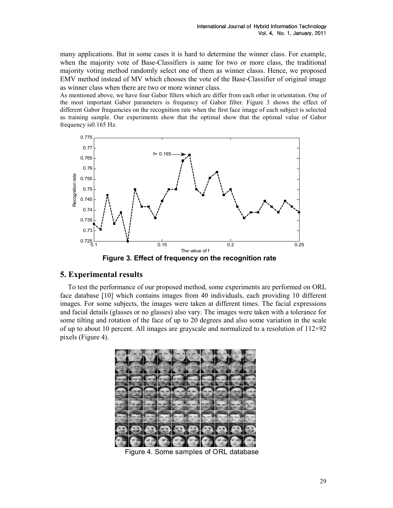many applications. But in some cases it is hard to determine the winner class. For example, when the majority vote of Base-Classifiers is same for two or more class, the traditional majority voting method randomly select one of them as winner classs. Hence, we proposed EMV method instead of MV which chooses the vote of the Base-Classifier of original image as winner class when there are two or more winner class.

As mentioned above, we have four Gabor filters which are differ from each other in orientation. One of the most important Gabor parameters is frequency of Gabor filter. Figure 3 shows the effect of different Gabor frequencies on the recognition rate when the first face image of each subject is selected as training sample. Our experiments show that the optimal show that the optimal value of Gabor frequency is0.165 Hz.



Figure 3. Effect of frequency on the recognition rate

# 5. Experimental results

To test the performance of our proposed method, some experiments are performed on ORL face database [10] which contains images from 40 individuals, each providing 10 different images. For some subjects, the images were taken at different times. The facial expressions and facial details (glasses or no glasses) also vary. The images were taken with a tolerance for some tilting and rotation of the face of up to 20 degrees and also some variation in the scale of up to about 10 percent. All images are grayscale and normalized to a resolution of  $112\times92$ pixels (Figure 4).



Figure 4. Some samples of ORL database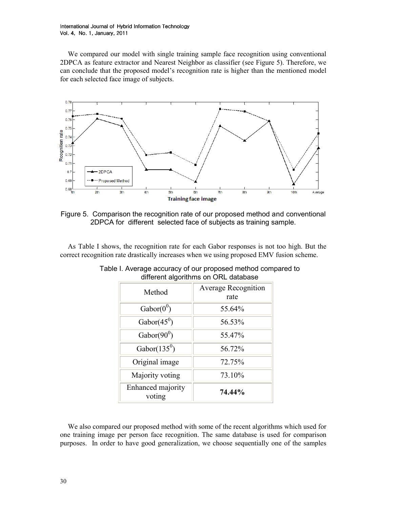We compared our model with single training sample face recognition using conventional 2DPCA as feature extractor and Nearest Neighbor as classifier (see Figure 5). Therefore, we can conclude that the proposed model's recognition rate is higher than the mentioned model for each selected face image of subjects.



Figure 5. Comparison the recognition rate of our proposed method and conventional 2DPCA for different selected face of subjects as training sample.

As Table I shows, the recognition rate for each Gabor responses is not too high. But the correct recognition rate drastically increases when we using proposed EMV fusion scheme.

| Method                      | <b>Average Recognition</b><br>rate |  |  |
|-----------------------------|------------------------------------|--|--|
| Gabor $(0^0)$               | 55.64%                             |  |  |
| Gabor $(45^0)$              | 56.53%                             |  |  |
| Gabor( $90^0$ )             | 55.47%                             |  |  |
| Gabor $(135^0)$             | 56.72%                             |  |  |
| Original image              | 72.75%                             |  |  |
| Majority voting             | 73.10%                             |  |  |
| Enhanced majority<br>voting | 74.44%                             |  |  |

|  |                                      |  | Table I. Average accuracy of our proposed method compared to |  |
|--|--------------------------------------|--|--------------------------------------------------------------|--|
|  | different algorithms on ORL database |  |                                                              |  |

We also compared our proposed method with some of the recent algorithms which used for one training image per person face recognition. The same database is used for comparison purposes. In order to have good generalization, we choose sequentially one of the samples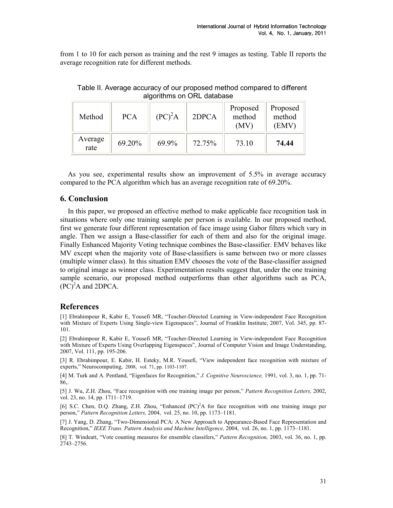from 1 to 10 for each person as training and the rest 9 images as testing. Table II reports the average recognition rate for different methods.

| Method          | <b>PCA</b> | $(PC)^2A$ | 2DPCA  | Proposed<br>method<br>(MV) | Proposed<br>method<br>(EMV) |
|-----------------|------------|-----------|--------|----------------------------|-----------------------------|
| Average<br>rate | 69.20%     | 69.9%     | 72.75% | 73.10                      | 74.44                       |

Table II. Average accuracy of our proposed method compared to different algorithms on ORL database

As you see, experimental results show an improvement of 5.5% in average accuracy compared to the PCA algorithm which has an average recognition rate of 69.20%.

## 6. Conclusion

In this paper, we proposed an effective method to make applicable face recognition task in situations where only one training sample per person is available. In our proposed method, first we generate four different representation of face image using Gabor filters which vary in angle. Then we assign a Base-classifier for each of them and also for the original image. Finally Enhanced Majority Voting technique combines the Base-classifier. EMV behaves like MV except when the majority vote of Base-classifiers is same between two or more classes (multiple winner class). In this situation EMV chooses the vote of the Base-classifier assigned to original image as winner class. Experimentation results suggest that, under the one training sample scenario, our proposed method outperforms than other algorithms such as PCA,  $(PC)^2$ A and 2DPCA.

## References

[1] Ebrahimpour R, Kabir E, Yousefi MR, "Teacher-Directed Learning in View-independent Face Recognition with Mixture of Experts Using Single-view Eigenspaces", Journal of Franklin Institute, 2007, Vol. 345, pp. 87- 101.

[2] Ebrahimpour R, Kabir E, Yousefi MR, "Teacher-Directed Learning in View-independent Face Recognition with Mixture of Experts Using Overlapping Eigenspaces", Journal of Computer Vision and Image Understanding, 2007, Vol. 111, pp. 195-206.

[3] R. Ebrahimpour, E. Kabir, H. Esteky, M.R. Yousefi, "View independent face recognition with mixture of experts," Neurocomputing, 2008, vol. 71, pp. 1103-1107.

[4] M. Turk and A. Pentland, "Eigenfaces for Recognition," J. Cognitive Neuroscience, 1991, vol. 3, no. 1, pp. 71- 86,.

[5] J. Wu, Z.H. Zhou, "Face recognition with one training image per person," Pattern Recognition Letters, 2002, vol. 23, no. 14, pp. 1711–1719.

[6] S.C. Chen, D.Q. Zhang, Z.H. Zhou, "Enhanced (PC)<sup>2</sup>A for face recognition with one training image per person," Pattern Recognition Letters, 2004, vol. 25, no. 10, pp. 1173–1181.

[7] J. Yang, D. Zhang, "Two-Dimensional PCA: A New Approach to Appearance-Based Face Representation and Recognition," IEEE Trans. Pattern Analysis and Machine Intelligence, 2004, vol. 26, no. 1, pp. 1173–1181.

[8] T. Windeatt, "Vote counting measures for ensemble classifers," Pattern Recognition, 2003, vol. 36, no. 1, pp. 2743–2756.